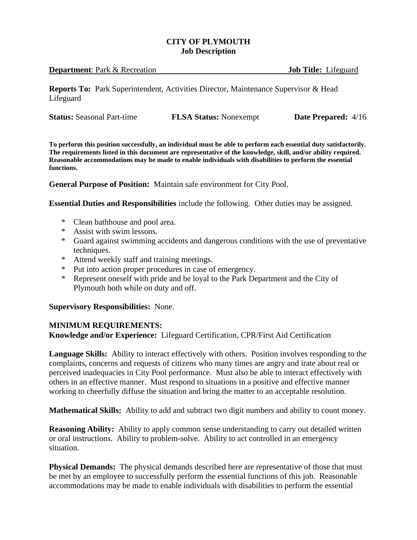## **CITY OF PLYMOUTH Job Description**

| <b>Department:</b> Park & Recreation | <b>Job Title:</b> Lifeguard |  |
|--------------------------------------|-----------------------------|--|
|                                      |                             |  |

**Reports To:** Park Superintendent, Activities Director, Maintenance Supervisor & Head Lifeguard

| <b>Status:</b> Seasonal Part-time | <b>FLSA Status:</b> Nonexempt | <b>Date Prepared:</b> 4/16 |
|-----------------------------------|-------------------------------|----------------------------|
|                                   |                               |                            |

**To perform this position successfully, an individual must be able to perform each essential duty satisfactorily. The requirements listed in this document are representative of the knowledge, skill, and/or ability required. Reasonable accommodations may be made to enable individuals with disabilities to perform the essential functions.**

**General Purpose of Position:** Maintain safe environment for City Pool.

**Essential Duties and Responsibilities** include the following. Other duties may be assigned.

- \* Clean bathhouse and pool area.
- \* Assist with swim lessons.
- \* Guard against swimming accidents and dangerous conditions with the use of preventative techniques.
- \* Attend weekly staff and training meetings.
- Put into action proper procedures in case of emergency.
- \* Represent oneself with pride and be loyal to the Park Department and the City of Plymouth both while on duty and off.

## **Supervisory Responsibilities:** None.

## **MINIMUM REQUIREMENTS:**

**Knowledge and/or Experience:** Lifeguard Certification, CPR/First Aid Certification

**Language Skills:** Ability to interact effectively with others. Position involves responding to the complaints, concerns and requests of citizens who many times are angry and irate about real or perceived inadequacies in City Pool performance. Must also be able to interact effectively with others in an effective manner. Must respond to situations in a positive and effective manner working to cheerfully diffuse the situation and bring the matter to an acceptable resolution.

**Mathematical Skills:** Ability to add and subtract two digit numbers and ability to count money.

**Reasoning Ability:** Ability to apply common sense understanding to carry out detailed written or oral instructions. Ability to problem-solve. Ability to act controlled in an emergency situation.

**Physical Demands:** The physical demands described here are representative of those that must be met by an employee to successfully perform the essential functions of this job. Reasonable accommodations may be made to enable individuals with disabilities to perform the essential